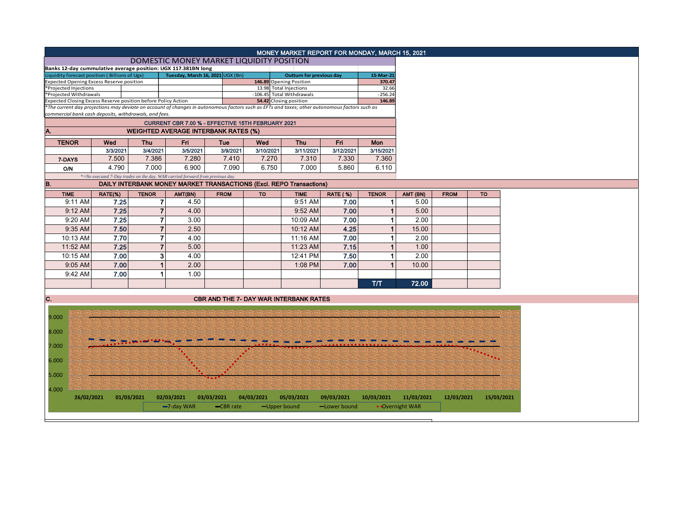|                                                                                         |          |                |                                                                               |             |            | MONEY MARKET REPORT FOR MONDAY, MARCH 15, 2021                                                                                                |              |                      |                 |             |            |
|-----------------------------------------------------------------------------------------|----------|----------------|-------------------------------------------------------------------------------|-------------|------------|-----------------------------------------------------------------------------------------------------------------------------------------------|--------------|----------------------|-----------------|-------------|------------|
|                                                                                         |          |                | DOMESTIC MONEY MARKET LIQUIDITY POSITION                                      |             |            |                                                                                                                                               |              |                      |                 |             |            |
| Banks 12-day cummulative average position: UGX 117.381BN long                           |          |                |                                                                               |             |            |                                                                                                                                               |              |                      |                 |             |            |
| Liquidity forecast position (Billions of Ugx)                                           |          |                | Tuesday, March 16, 2021 UGX (Bn)                                              |             |            | <b>Outturn for previous day</b>                                                                                                               |              | 15-Mar-21            |                 |             |            |
| <b>Expected Opening Excess Reserve position</b>                                         |          |                |                                                                               |             |            | 146.89 Opening Position                                                                                                                       |              | 370.47               |                 |             |            |
| *Projected Injections                                                                   |          |                |                                                                               |             |            | 13.98 Total Injections                                                                                                                        |              | 32.66                |                 |             |            |
| *Projected Withdrawals<br>Expected Closing Excess Reserve position before Policy Action |          |                |                                                                               |             |            | -106.45 Total Withdrawals<br>54.42 Closing position                                                                                           |              | $-256.24$<br>146.89  |                 |             |            |
|                                                                                         |          |                |                                                                               |             |            | *The current day projections may deviate on account of changes in autonomous factors such as EFTs and taxes; other autonomous factors such as |              |                      |                 |             |            |
| commercial bank cash deposits, withdrawals, and fees.                                   |          |                |                                                                               |             |            |                                                                                                                                               |              |                      |                 |             |            |
|                                                                                         |          |                | CURRENT CBR 7.00 % - EFFECTIVE 15TH FEBRUARY 2021                             |             |            |                                                                                                                                               |              |                      |                 |             |            |
| A.                                                                                      |          |                | <b>WEIGHTED AVERAGE INTERBANK RATES (%)</b>                                   |             |            |                                                                                                                                               |              |                      |                 |             |            |
| <b>TENOR</b>                                                                            | Wed      | <b>Thu</b>     | Fri                                                                           | Tue         | Wed        | <b>Thu</b>                                                                                                                                    | <b>Fri</b>   | <b>Mon</b>           |                 |             |            |
|                                                                                         | 3/3/2021 | 3/4/2021       | 3/5/2021                                                                      | 3/9/2021    | 3/10/2021  | 3/11/2021                                                                                                                                     | 3/12/2021    | 3/15/2021            |                 |             |            |
| 7-DAYS                                                                                  | 7.500    | 7.386          | 7.280                                                                         | 7.410       | 7.270      | 7.310                                                                                                                                         | 7.330        | 7.360                |                 |             |            |
| <b>O/N</b>                                                                              | 4.790    | 7.000          | 6.900                                                                         | 7.090       | 6.750      | 7.000                                                                                                                                         | 5.860        | 6.110                |                 |             |            |
|                                                                                         |          |                | *=No executed 7-Day trades on the day. WAR carried forward from previous day. |             |            |                                                                                                                                               |              |                      |                 |             |            |
| B.                                                                                      |          |                |                                                                               |             |            | <b>DAILY INTERBANK MONEY MARKET TRANSACTIONS (Excl. REPO Transactions)</b>                                                                    |              |                      |                 |             |            |
| <b>TIME</b>                                                                             | RATE(%)  | <b>TENOR</b>   | AMT(BN)                                                                       | <b>FROM</b> | <b>TO</b>  | <b>TIME</b>                                                                                                                                   | RATE (%)     | <b>TENOR</b>         | AMT (BN)        | <b>FROM</b> | <b>TO</b>  |
| 9:11 AM                                                                                 | 7.25     | 7              | 4.50                                                                          |             |            | 9:51 AM                                                                                                                                       | 7.00         | 1                    | 5.00            |             |            |
| $9:12$ AM                                                                               | 7.25     | $\overline{7}$ | 4.00                                                                          |             |            | 9:52 AM                                                                                                                                       | 7.00         | 1                    | 5.00            |             |            |
| 9:20 AM                                                                                 | 7.25     | $\overline{7}$ | 3.00                                                                          |             |            | 10:09 AM                                                                                                                                      | 7.00         | 1                    | 2.00            |             |            |
| 9:35 AM                                                                                 | 7.50     | $\overline{7}$ | 2.50                                                                          |             |            | 10:12 AM                                                                                                                                      | 4.25         | $\mathbf 1$          | 15.00           |             |            |
| 10:13 AM                                                                                | 7.70     | $\overline{7}$ | 4.00                                                                          |             |            | 11:16 AM                                                                                                                                      | 7.00         | 1                    | 2.00            |             |            |
| 11:52 AM                                                                                |          | $\overline{7}$ | 5.00                                                                          |             |            | 11:23 AM                                                                                                                                      |              | 1                    | 1.00            |             |            |
|                                                                                         | 7.25     |                |                                                                               |             |            |                                                                                                                                               | 7.15         |                      |                 |             |            |
| 10:15 AM                                                                                | 7.00     | 3              | 4.00                                                                          |             |            | 12:41 PM                                                                                                                                      | 7.50         | 1                    | 2.00            |             |            |
| 9:05 AM                                                                                 | 7.00     | $\overline{1}$ | 2.00                                                                          |             |            | 1:08 PM                                                                                                                                       | 7.00         | $\blacktriangleleft$ | 10.00           |             |            |
| 9:42 AM                                                                                 | 7.00     |                | 1.00                                                                          |             |            |                                                                                                                                               |              |                      |                 |             |            |
|                                                                                         |          |                |                                                                               |             |            |                                                                                                                                               |              | T/T                  | 72.00           |             |            |
|                                                                                         |          |                |                                                                               |             |            |                                                                                                                                               |              |                      |                 |             |            |
| IC.                                                                                     |          |                |                                                                               |             |            | <b>CBR AND THE 7- DAY WAR INTERBANK RATES</b>                                                                                                 |              |                      |                 |             |            |
|                                                                                         |          |                |                                                                               |             |            |                                                                                                                                               |              |                      |                 |             |            |
| 9.000                                                                                   |          |                |                                                                               |             |            |                                                                                                                                               |              |                      |                 |             |            |
| 8.000                                                                                   |          |                |                                                                               |             |            |                                                                                                                                               |              |                      |                 |             |            |
|                                                                                         |          |                |                                                                               |             |            |                                                                                                                                               |              |                      |                 |             |            |
| 7.000                                                                                   |          |                |                                                                               |             |            |                                                                                                                                               |              |                      |                 |             |            |
| 6.000                                                                                   |          |                |                                                                               |             |            |                                                                                                                                               |              |                      |                 |             | $\cdot$ .  |
|                                                                                         |          |                |                                                                               |             |            |                                                                                                                                               |              |                      |                 |             |            |
| 5.000                                                                                   |          |                |                                                                               |             |            |                                                                                                                                               |              |                      |                 |             |            |
| 4.000                                                                                   |          |                |                                                                               |             |            |                                                                                                                                               |              |                      |                 |             |            |
| 26/02/2021                                                                              |          | 01/03/2021     | 02/03/2021                                                                    | 03/03/2021  | 04/03/2021 | 05/03/2021                                                                                                                                    | 09/03/2021   | 10/03/2021           | 11/03/2021      | 12/03/2021  | 15/03/2021 |
|                                                                                         |          |                | $-7$ -day WAR                                                                 | -CBR rate   |            | -Upper bound                                                                                                                                  | -Lower bound |                      | • Overnight WAR |             |            |
|                                                                                         |          |                |                                                                               |             |            |                                                                                                                                               |              |                      |                 |             |            |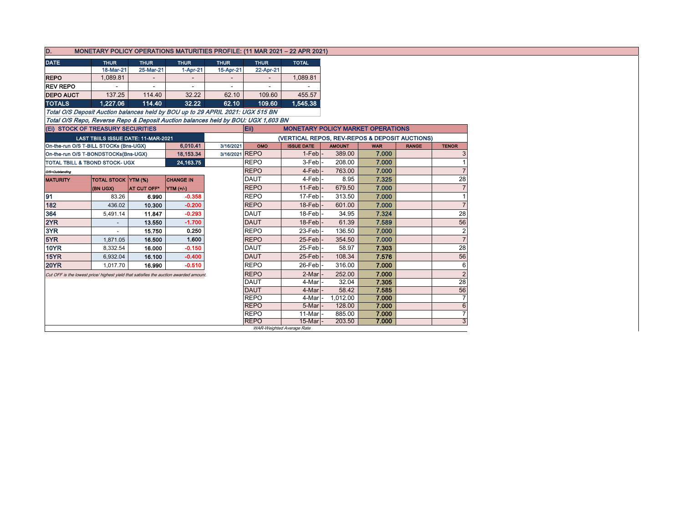| D.                                                                                    |                            |                                            | MONETARY POLICY OPERATIONS MATURITIES PROFILE: (11 MAR 2021 - 22 APR 2021) |                |                                                |                                          |               |            |              |                |  |  |  |  |
|---------------------------------------------------------------------------------------|----------------------------|--------------------------------------------|----------------------------------------------------------------------------|----------------|------------------------------------------------|------------------------------------------|---------------|------------|--------------|----------------|--|--|--|--|
| <b>DATE</b>                                                                           | <b>THUR</b><br><b>THUR</b> |                                            | <b>THUR</b>                                                                | <b>THUR</b>    | <b>THUR</b>                                    | <b>TOTAL</b>                             |               |            |              |                |  |  |  |  |
|                                                                                       | 18-Mar-21                  | 25-Mar-21                                  | 1-Apr-21                                                                   | 15-Apr-21      | 22-Apr-21                                      |                                          |               |            |              |                |  |  |  |  |
| <b>REPO</b>                                                                           | 1,089.81                   |                                            |                                                                            |                |                                                | 1,089.81                                 |               |            |              |                |  |  |  |  |
| <b>REV REPO</b><br>$\overline{\phantom{m}}$                                           |                            | $\overline{\phantom{a}}$                   | $\overline{\phantom{a}}$                                                   |                |                                                |                                          |               |            |              |                |  |  |  |  |
| <b>DEPO AUCT</b>                                                                      | 137.25                     | 114.40                                     | 32.22                                                                      | 62.10          | 109.60                                         | 455.57                                   |               |            |              |                |  |  |  |  |
| <b>TOTALS</b>                                                                         | 1,227.06                   | 114.40                                     | 32.22                                                                      | 62.10          | 109.60                                         | 1,545.38                                 |               |            |              |                |  |  |  |  |
| Total O/S Deposit Auction balances held by BOU up to 29 APRIL 2021: UGX 515 BN        |                            |                                            |                                                                            |                |                                                |                                          |               |            |              |                |  |  |  |  |
| Total O/S Repo, Reverse Repo & Deposit Auction balances held by BOU: UGX 1,603 BN     |                            |                                            |                                                                            |                |                                                |                                          |               |            |              |                |  |  |  |  |
| (Ei) STOCK OF TREASURY SECURITIES                                                     |                            |                                            |                                                                            |                | Eii)                                           | <b>MONETARY POLICY MARKET OPERATIONS</b> |               |            |              |                |  |  |  |  |
|                                                                                       |                            | <b>LAST TBIILS ISSUE DATE: 11-MAR-2021</b> |                                                                            |                | (VERTICAL REPOS, REV-REPOS & DEPOSIT AUCTIONS) |                                          |               |            |              |                |  |  |  |  |
| On-the-run O/S T-BILL STOCKs (Bns-UGX)                                                |                            |                                            | 6,010.41                                                                   | 3/16/2021      | OMO                                            | <b>ISSUE DATE</b>                        | <b>AMOUNT</b> | <b>WAR</b> | <b>RANGE</b> | <b>TENOR</b>   |  |  |  |  |
| On-the-run O/S T-BONDSTOCKs(Bns-UGX)                                                  |                            |                                            | 18,153.34                                                                  | 3/16/2021 REPO |                                                | $1-Feb$ -                                | 389.00        | 7.000      |              | 3              |  |  |  |  |
| <b>TOTAL TBILL &amp; TBOND STOCK- UGX</b>                                             |                            |                                            | 24, 163. 75                                                                |                | <b>REPO</b>                                    | $3-Feb$ -                                | 208.00        | 7.000      |              |                |  |  |  |  |
| O/S=Outstanding                                                                       |                            |                                            |                                                                            |                | <b>REPO</b>                                    | $4-Feb$ -                                | 763.00        | 7.000      |              | $\overline{7}$ |  |  |  |  |
| <b>MATURITY</b>                                                                       | <b>TOTAL STOCK YTM (%)</b> |                                            | <b>CHANGE IN</b>                                                           |                | <b>DAUT</b>                                    | 4-Feb <sup>-</sup>                       | 8.95          | 7.325      |              | 28             |  |  |  |  |
|                                                                                       | (BN UGX)                   | <b>AT CUT OFF*</b>                         | YTM (+/-)                                                                  |                | <b>REPO</b>                                    | $11$ -Feb $\vert$ -                      | 679.50        | 7.000      |              | $\overline{7}$ |  |  |  |  |
| 91                                                                                    | 83.26                      | 6.990                                      | $-0.358$                                                                   |                | <b>REPO</b>                                    | 17-Feb -                                 | 313.50        | 7.000      |              | $\mathbf 1$    |  |  |  |  |
| 182                                                                                   | 436.02                     | 10.300                                     | $-0.200$                                                                   |                | <b>REPO</b>                                    | $18$ -Feb $\vert$ -                      | 601.00        | 7.000      |              | $\overline{7}$ |  |  |  |  |
| 364                                                                                   | 5,491.14                   | 11.847                                     | $-0.293$                                                                   |                | <b>DAUT</b>                                    | 18-Feb-                                  | 34.95         | 7.324      |              | 28             |  |  |  |  |
| 2YR                                                                                   |                            | 13.550                                     | $-1.700$                                                                   |                | <b>DAUT</b>                                    | $18$ -Feb $\vert$ -                      | 61.39         | 7.589      |              | 56             |  |  |  |  |
| 3YR                                                                                   |                            | 15.750                                     | 0.250                                                                      |                | <b>REPO</b>                                    | 23-Feb -                                 | 136.50        | 7.000      |              | $\overline{2}$ |  |  |  |  |
| 5YR                                                                                   | 1,871.05                   | 16.500                                     | 1.600                                                                      |                | <b>REPO</b>                                    | $25$ -Feb $\vert$ -                      | 354.50        | 7.000      |              | $\overline{7}$ |  |  |  |  |
| <b>10YR</b>                                                                           | 8,332.54                   | 16.000                                     | $-0.150$                                                                   |                | <b>DAUT</b>                                    | 25-Feb-                                  | 58.97         | 7.303      |              | 28             |  |  |  |  |
| 15YR                                                                                  | 6,932.04                   | 16.100                                     | $-0.400$                                                                   |                | <b>DAUT</b>                                    | $25$ -Feb $\vert$ -                      | 108.34        | 7.576      |              | 56             |  |  |  |  |
| <b>20YR</b>                                                                           | 1,017.70                   | 16.990                                     | $-0.510$                                                                   |                | <b>REPO</b>                                    | 26-Feb-                                  | 316.00        | 7.000      |              | 6              |  |  |  |  |
| Cut OFF is the lowest price/ highest yield that satisfies the auction awarded amount. |                            |                                            |                                                                            |                | <b>REPO</b>                                    | 2-Mar                                    | 252.00        | 7.000      |              | $\overline{2}$ |  |  |  |  |
|                                                                                       |                            |                                            |                                                                            |                | <b>DAUT</b>                                    | 4-Mar                                    | 32.04         | 7.305      |              | 28             |  |  |  |  |
|                                                                                       |                            |                                            |                                                                            |                | <b>DAUT</b>                                    | 4-Mar                                    | 58.42         | 7.585      |              | 56             |  |  |  |  |
|                                                                                       |                            |                                            |                                                                            |                | <b>REPO</b>                                    | 4-Mar                                    | 1,012.00      | 7.000      |              | $\overline{7}$ |  |  |  |  |
|                                                                                       |                            |                                            |                                                                            |                | <b>REPO</b>                                    | 5-Mar                                    | 128.00        | 7.000      |              | 6              |  |  |  |  |
|                                                                                       |                            |                                            |                                                                            |                | <b>REPO</b>                                    | 11-Mar                                   | 885.00        | 7.000      |              | $\overline{7}$ |  |  |  |  |
|                                                                                       |                            |                                            |                                                                            |                | <b>REPO</b>                                    | 15-Mar<br>WAR-Weighted Average Rate      | 203.50        | 7.000      |              | 3              |  |  |  |  |
|                                                                                       |                            |                                            |                                                                            |                |                                                |                                          |               |            |              |                |  |  |  |  |